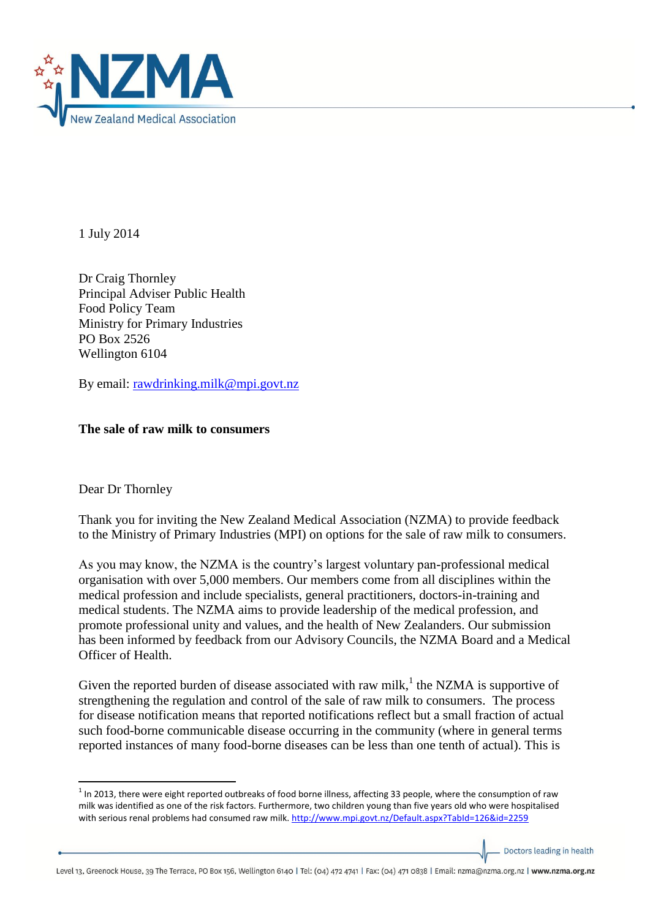

1 July 2014

Dr Craig Thornley Principal Adviser Public Health Food Policy Team Ministry for Primary Industries PO Box 2526 Wellington 6104

By email: [rawdrinking.milk@mpi.govt.nz](mailto:rawdrinking.milk@mpi.govt.nz)

## **The sale of raw milk to consumers**

Dear Dr Thornley

**.** 

Thank you for inviting the New Zealand Medical Association (NZMA) to provide feedback to the Ministry of Primary Industries (MPI) on options for the sale of raw milk to consumers.

As you may know, the NZMA is the country's largest voluntary pan-professional medical organisation with over 5,000 members. Our members come from all disciplines within the medical profession and include specialists, general practitioners, doctors-in-training and medical students. The NZMA aims to provide leadership of the medical profession, and promote professional unity and values, and the health of New Zealanders. Our submission has been informed by feedback from our Advisory Councils, the NZMA Board and a Medical Officer of Health.

Given the reported burden of disease associated with raw milk,<sup>1</sup> the NZMA is supportive of strengthening the regulation and control of the sale of raw milk to consumers. The process for disease notification means that reported notifications reflect but a small fraction of actual such food-borne communicable disease occurring in the community (where in general terms reported instances of many food-borne diseases can be less than one tenth of actual). This is

Doctors leading in health

 $1$  In 2013, there were eight reported outbreaks of food borne illness, affecting 33 people, where the consumption of raw milk was identified as one of the risk factors. Furthermore, two children young than five years old who were hospitalised with serious renal problems had consumed raw milk[. http://www.mpi.govt.nz/Default.aspx?TabId=126&id=2259](http://www.mpi.govt.nz/Default.aspx?TabId=126&id=2259)